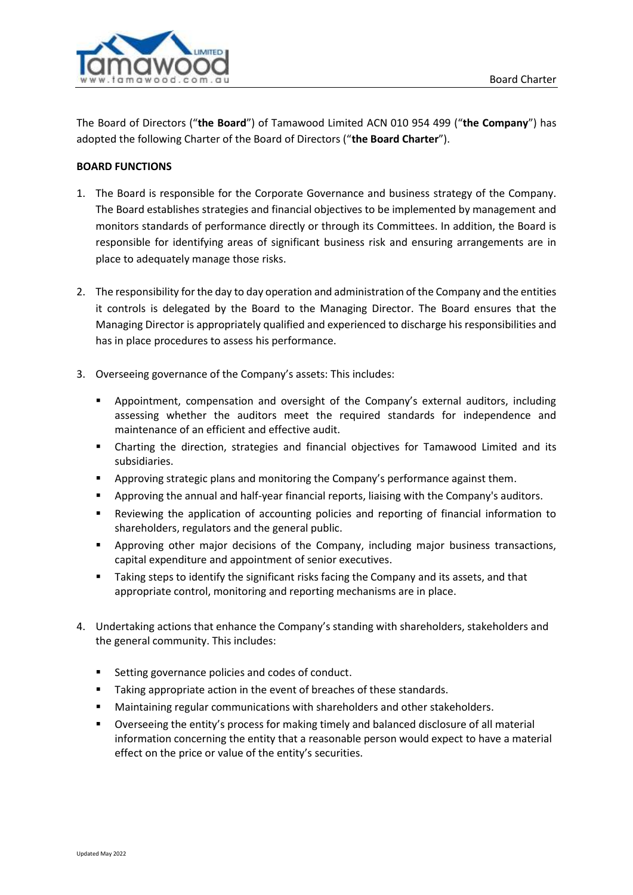

The Board of Directors ("**the Board**") of Tamawood Limited ACN 010 954 499 ("**the Company**") has adopted the following Charter of the Board of Directors ("**the Board Charter**").

# **BOARD FUNCTIONS**

- 1. The Board is responsible for the Corporate Governance and business strategy of the Company. The Board establishes strategies and financial objectives to be implemented by management and monitors standards of performance directly or through its Committees. In addition, the Board is responsible for identifying areas of significant business risk and ensuring arrangements are in place to adequately manage those risks.
- 2. The responsibility for the day to day operation and administration of the Company and the entities it controls is delegated by the Board to the Managing Director. The Board ensures that the Managing Director is appropriately qualified and experienced to discharge his responsibilities and has in place procedures to assess his performance.
- 3. Overseeing governance of the Company's assets: This includes:
	- **•** Appointment, compensation and oversight of the Company's external auditors, including assessing whether the auditors meet the required standards for independence and maintenance of an efficient and effective audit.
	- Charting the direction, strategies and financial objectives for Tamawood Limited and its subsidiaries.
	- Approving strategic plans and monitoring the Company's performance against them.
	- Approving the annual and half-year financial reports, liaising with the Company's auditors.
	- Reviewing the application of accounting policies and reporting of financial information to shareholders, regulators and the general public.
	- Approving other major decisions of the Company, including major business transactions, capital expenditure and appointment of senior executives.
	- **E** Taking steps to identify the significant risks facing the Company and its assets, and that appropriate control, monitoring and reporting mechanisms are in place.
- 4. Undertaking actions that enhance the Company's standing with shareholders, stakeholders and the general community. This includes:
	- Setting governance policies and codes of conduct.
	- Taking appropriate action in the event of breaches of these standards.
	- Maintaining regular communications with shareholders and other stakeholders.
	- Overseeing the entity's process for making timely and balanced disclosure of all material information concerning the entity that a reasonable person would expect to have a material effect on the price or value of the entity's securities.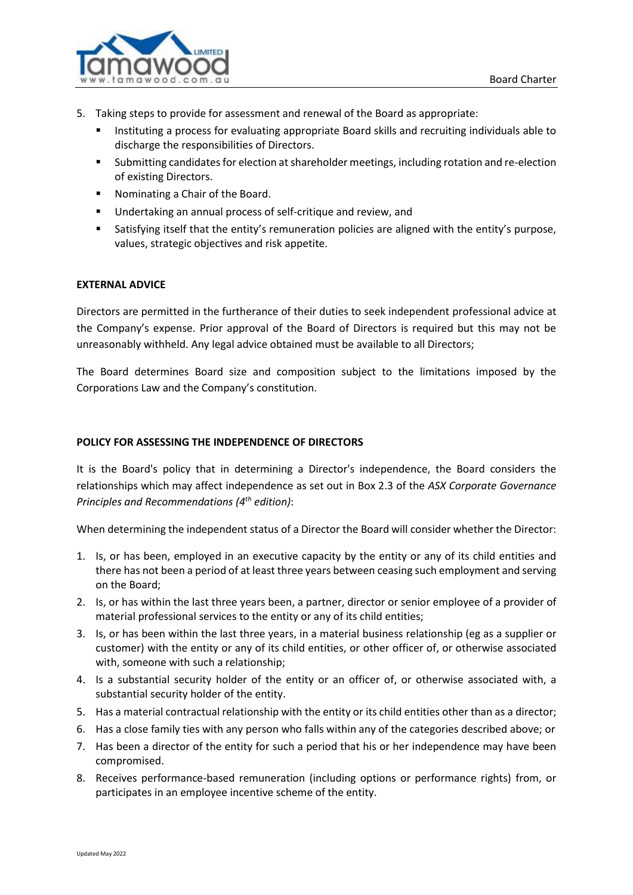

- 5. Taking steps to provide for assessment and renewal of the Board as appropriate:
	- Instituting a process for evaluating appropriate Board skills and recruiting individuals able to discharge the responsibilities of Directors.
	- Submitting candidates for election at shareholder meetings, including rotation and re-election of existing Directors.
	- Nominating a Chair of the Board.
	- Undertaking an annual process of self-critique and review, and
	- Satisfying itself that the entity's remuneration policies are aligned with the entity's purpose, values, strategic objectives and risk appetite.

# **EXTERNAL ADVICE**

Directors are permitted in the furtherance of their duties to seek independent professional advice at the Company's expense. Prior approval of the Board of Directors is required but this may not be unreasonably withheld. Any legal advice obtained must be available to all Directors;

The Board determines Board size and composition subject to the limitations imposed by the Corporations Law and the Company's constitution.

### **POLICY FOR ASSESSING THE INDEPENDENCE OF DIRECTORS**

It is the Board's policy that in determining a Director's independence, the Board considers the relationships which may affect independence as set out in Box 2.3 of the *ASX Corporate Governance Principles and Recommendations (4 th edition)*:

When determining the independent status of a Director the Board will consider whether the Director:

- 1. Is, or has been, employed in an executive capacity by the entity or any of its child entities and there has not been a period of at least three years between ceasing such employment and serving on the Board;
- 2. Is, or has within the last three years been, a partner, director or senior employee of a provider of material professional services to the entity or any of its child entities;
- 3. Is, or has been within the last three years, in a material business relationship (eg as a supplier or customer) with the entity or any of its child entities, or other officer of, or otherwise associated with, someone with such a relationship;
- 4. Is a substantial security holder of the entity or an officer of, or otherwise associated with, a substantial security holder of the entity.
- 5. Has a material contractual relationship with the entity or its child entities other than as a director;
- 6. Has a close family ties with any person who falls within any of the categories described above; or
- 7. Has been a director of the entity for such a period that his or her independence may have been compromised.
- 8. Receives performance-based remuneration (including options or performance rights) from, or participates in an employee incentive scheme of the entity.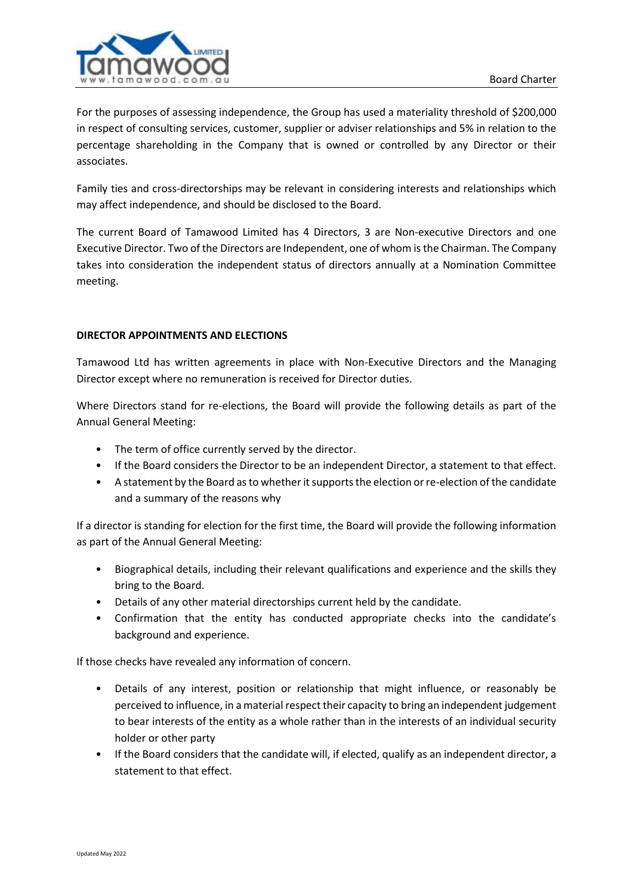

For the purposes of assessing independence, the Group has used a materiality threshold of \$200,000 in respect of consulting services, customer, supplier or adviser relationships and 5% in relation to the percentage shareholding in the Company that is owned or controlled by any Director or their associates.

Family ties and cross-directorships may be relevant in considering interests and relationships which may affect independence, and should be disclosed to the Board.

The current Board of Tamawood Limited has 4 Directors, 3 are Non-executive Directors and one Executive Director. Two of the Directors are Independent, one of whom is the Chairman. The Company takes into consideration the independent status of directors annually at a Nomination Committee meeting.

# **DIRECTOR APPOINTMENTS AND ELECTIONS**

Tamawood Ltd has written agreements in place with Non-Executive Directors and the Managing Director except where no remuneration is received for Director duties.

Where Directors stand for re-elections, the Board will provide the following details as part of the Annual General Meeting:

- The term of office currently served by the director.
- If the Board considers the Director to be an independent Director, a statement to that effect.
- A statement by the Board as to whether it supports the election or re-election of the candidate and a summary of the reasons why

If a director is standing for election for the first time, the Board will provide the following information as part of the Annual General Meeting:

- Biographical details, including their relevant qualifications and experience and the skills they bring to the Board.
- Details of any other material directorships current held by the candidate.
- Confirmation that the entity has conducted appropriate checks into the candidate's background and experience.

If those checks have revealed any information of concern.

- Details of any interest, position or relationship that might influence, or reasonably be perceived to influence, in a material respect their capacity to bring an independent judgement to bear interests of the entity as a whole rather than in the interests of an individual security holder or other party
- If the Board considers that the candidate will, if elected, qualify as an independent director, a statement to that effect.